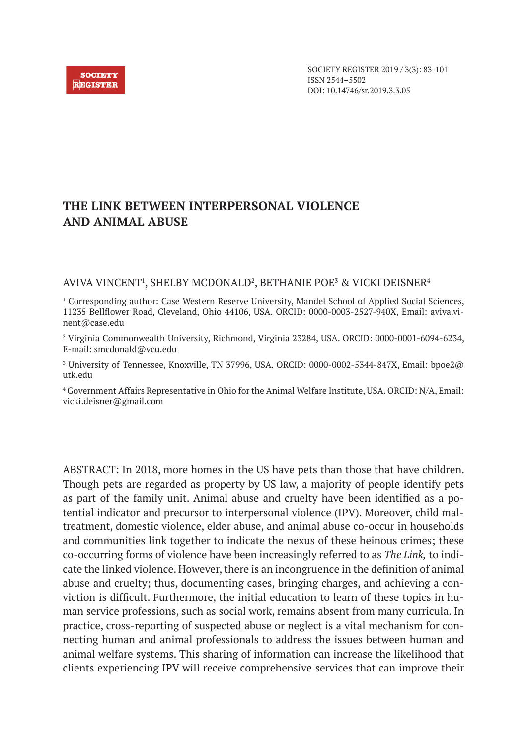

SOCIETY REGISTER 2019 / 3(3): 83-101 ISSN 2544–5502 DOI: 10.14746/sr.2019.3.3.05

# **THE LINK BETWEEN INTERPERSONAL VIOLENCE AND ANIMAL ABUSE**

AVIVA VINCENT<sup>1</sup>, SHELBY MCDONALD<sup>2</sup>, BETHANIE POE<sup>3</sup> & VICKI DEISNER<sup>4</sup>

<sup>1</sup> Corresponding author: Case Western Reserve University, Mandel School of Applied Social Sciences, 11235 Bellflower Road, Cleveland, Ohio 44106, USA. ORCID: 0000-0003-2527-940X, Email: aviva.vinent@case.edu

2 Virginia Commonwealth University, Richmond, Virginia 23284, USA. ORCID: 0000-0001-6094-6234, E-mail: smcdonald@vcu.edu

 $^{\rm 3}$  University of Tennessee, Knoxville, TN 37996, USA. ORCID: 0000-0002-5344-847X, Email: bpoe2@ utk.edu

4 Government Affairs Representative in Ohio for the Animal Welfare Institute, USA. ORCID: N/A, Email: vicki.deisner@gmail.com

ABSTRACT: In 2018, more homes in the US have pets than those that have children. Though pets are regarded as property by US law, a majority of people identify pets as part of the family unit. Animal abuse and cruelty have been identified as a potential indicator and precursor to interpersonal violence (IPV). Moreover, child maltreatment, domestic violence, elder abuse, and animal abuse co-occur in households and communities link together to indicate the nexus of these heinous crimes; these co-occurring forms of violence have been increasingly referred to as *The Link,* to indicate the linked violence. However, there is an incongruence in the definition of animal abuse and cruelty; thus, documenting cases, bringing charges, and achieving a conviction is difficult. Furthermore, the initial education to learn of these topics in human service professions, such as social work, remains absent from many curricula. In practice, cross-reporting of suspected abuse or neglect is a vital mechanism for connecting human and animal professionals to address the issues between human and animal welfare systems. This sharing of information can increase the likelihood that clients experiencing IPV will receive comprehensive services that can improve their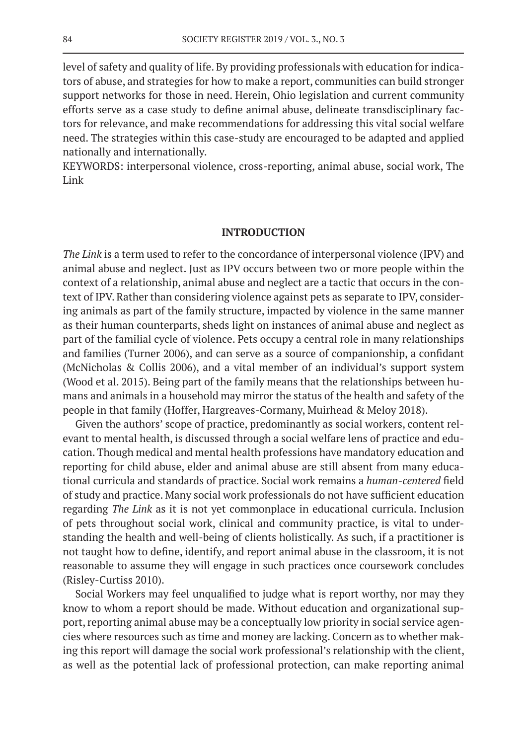level of safety and quality of life. By providing professionals with education for indicators of abuse, and strategies for how to make a report, communities can build stronger support networks for those in need. Herein, Ohio legislation and current community efforts serve as a case study to define animal abuse, delineate transdisciplinary factors for relevance, and make recommendations for addressing this vital social welfare need. The strategies within this case-study are encouraged to be adapted and applied nationally and internationally.

KEYWORDS: interpersonal violence, cross-reporting, animal abuse, social work, The Link

### **INTRODUCTION**

*The Link* is a term used to refer to the concordance of interpersonal violence (IPV) and animal abuse and neglect. Just as IPV occurs between two or more people within the context of a relationship, animal abuse and neglect are a tactic that occurs in the context of IPV. Rather than considering violence against pets as separate to IPV, considering animals as part of the family structure, impacted by violence in the same manner as their human counterparts, sheds light on instances of animal abuse and neglect as part of the familial cycle of violence. Pets occupy a central role in many relationships and families (Turner 2006), and can serve as a source of companionship, a confidant (McNicholas & Collis 2006), and a vital member of an individual's support system (Wood et al. 2015). Being part of the family means that the relationships between humans and animals in a household may mirror the status of the health and safety of the people in that family (Hoffer, Hargreaves-Cormany, Muirhead & Meloy 2018).

Given the authors' scope of practice, predominantly as social workers, content relevant to mental health, is discussed through a social welfare lens of practice and education. Though medical and mental health professions have mandatory education and reporting for child abuse, elder and animal abuse are still absent from many educational curricula and standards of practice. Social work remains a *human-centered* field of study and practice. Many social work professionals do not have sufficient education regarding *The Link* as it is not yet commonplace in educational curricula. Inclusion of pets throughout social work, clinical and community practice, is vital to understanding the health and well-being of clients holistically. As such, if a practitioner is not taught how to define, identify, and report animal abuse in the classroom, it is not reasonable to assume they will engage in such practices once coursework concludes (Risley-Curtiss 2010).

Social Workers may feel unqualified to judge what is report worthy, nor may they know to whom a report should be made. Without education and organizational support, reporting animal abuse may be a conceptually low priority in social service agencies where resources such as time and money are lacking. Concern as to whether making this report will damage the social work professional's relationship with the client, as well as the potential lack of professional protection, can make reporting animal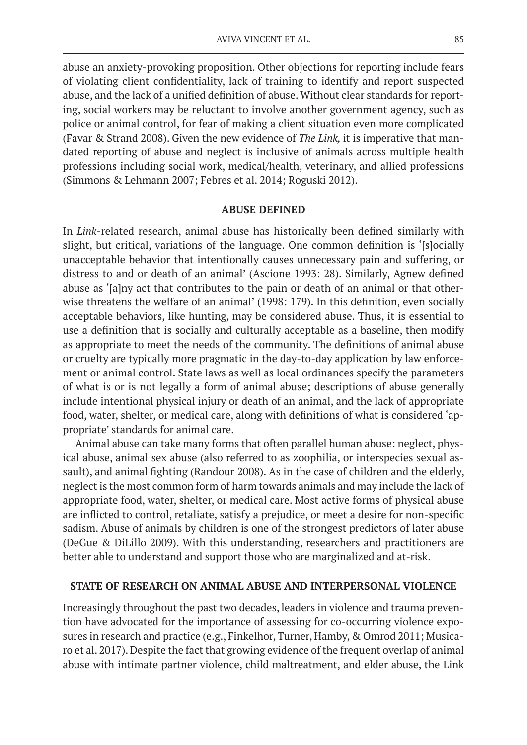abuse an anxiety-provoking proposition. Other objections for reporting include fears of violating client confidentiality, lack of training to identify and report suspected abuse, and the lack of a unified definition of abuse. Without clear standards for reporting, social workers may be reluctant to involve another government agency, such as police or animal control, for fear of making a client situation even more complicated (Favar & Strand 2008). Given the new evidence of *The Link,* it is imperative that mandated reporting of abuse and neglect is inclusive of animals across multiple health professions including social work, medical/health, veterinary, and allied professions (Simmons & Lehmann 2007; Febres et al. 2014; Roguski 2012).

### **ABUSE DEFINED**

In *Link*-related research, animal abuse has historically been defined similarly with slight, but critical, variations of the language. One common definition is '[s]ocially unacceptable behavior that intentionally causes unnecessary pain and suffering, or distress to and or death of an animal' (Ascione 1993: 28). Similarly, Agnew defined abuse as '[a]ny act that contributes to the pain or death of an animal or that otherwise threatens the welfare of an animal' (1998: 179). In this definition, even socially acceptable behaviors, like hunting, may be considered abuse. Thus, it is essential to use a definition that is socially and culturally acceptable as a baseline, then modify as appropriate to meet the needs of the community. The definitions of animal abuse or cruelty are typically more pragmatic in the day-to-day application by law enforcement or animal control. State laws as well as local ordinances specify the parameters of what is or is not legally a form of animal abuse; descriptions of abuse generally include intentional physical injury or death of an animal, and the lack of appropriate food, water, shelter, or medical care, along with definitions of what is considered 'appropriate' standards for animal care.

Animal abuse can take many forms that often parallel human abuse: neglect, physical abuse, animal sex abuse (also referred to as zoophilia, or interspecies sexual assault), and animal fighting (Randour 2008). As in the case of children and the elderly, neglect is the most common form of harm towards animals and may include the lack of appropriate food, water, shelter, or medical care. Most active forms of physical abuse are inflicted to control, retaliate, satisfy a prejudice, or meet a desire for non-specific sadism. Abuse of animals by children is one of the strongest predictors of later abuse (DeGue & DiLillo 2009). With this understanding, researchers and practitioners are better able to understand and support those who are marginalized and at-risk.

### **STATE OF RESEARCH ON ANIMAL ABUSE AND INTERPERSONAL VIOLENCE**

Increasingly throughout the past two decades, leaders in violence and trauma prevention have advocated for the importance of assessing for co-occurring violence exposures in research and practice (e.g., Finkelhor, Turner, Hamby, & Omrod 2011; Musicaro et al. 2017). Despite the fact that growing evidence of the frequent overlap of animal abuse with intimate partner violence, child maltreatment, and elder abuse, the Link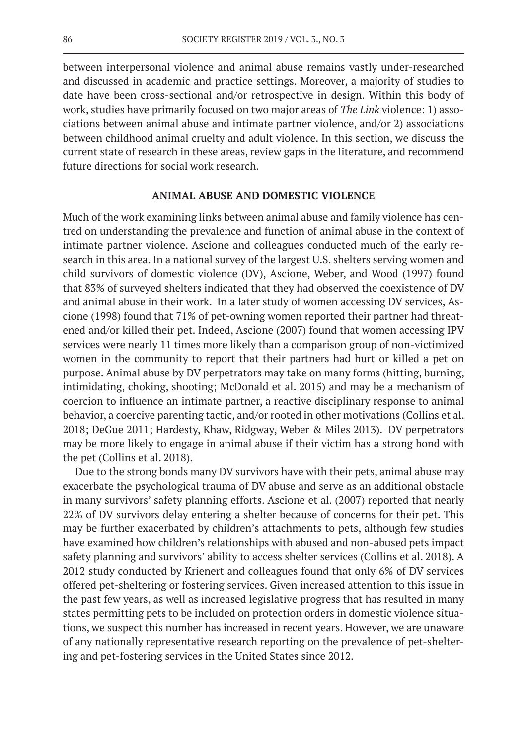between interpersonal violence and animal abuse remains vastly under-researched and discussed in academic and practice settings. Moreover, a majority of studies to date have been cross-sectional and/or retrospective in design. Within this body of work, studies have primarily focused on two major areas of *The Link* violence: 1) associations between animal abuse and intimate partner violence, and/or 2) associations between childhood animal cruelty and adult violence. In this section, we discuss the current state of research in these areas, review gaps in the literature, and recommend future directions for social work research.

# **ANIMAL ABUSE AND DOMESTIC VIOLENCE**

Much of the work examining links between animal abuse and family violence has centred on understanding the prevalence and function of animal abuse in the context of intimate partner violence. Ascione and colleagues conducted much of the early research in this area. In a national survey of the largest U.S. shelters serving women and child survivors of domestic violence (DV), Ascione, Weber, and Wood (1997) found that 83% of surveyed shelters indicated that they had observed the coexistence of DV and animal abuse in their work. In a later study of women accessing DV services, Ascione (1998) found that 71% of pet-owning women reported their partner had threatened and/or killed their pet. Indeed, Ascione (2007) found that women accessing IPV services were nearly 11 times more likely than a comparison group of non-victimized women in the community to report that their partners had hurt or killed a pet on purpose. Animal abuse by DV perpetrators may take on many forms (hitting, burning, intimidating, choking, shooting; McDonald et al. 2015) and may be a mechanism of coercion to influence an intimate partner, a reactive disciplinary response to animal behavior, a coercive parenting tactic, and/or rooted in other motivations (Collins et al. 2018; DeGue 2011; Hardesty, Khaw, Ridgway, Weber & Miles 2013). DV perpetrators may be more likely to engage in animal abuse if their victim has a strong bond with the pet (Collins et al. 2018).

Due to the strong bonds many DV survivors have with their pets, animal abuse may exacerbate the psychological trauma of DV abuse and serve as an additional obstacle in many survivors' safety planning efforts. Ascione et al. (2007) reported that nearly 22% of DV survivors delay entering a shelter because of concerns for their pet. This may be further exacerbated by children's attachments to pets, although few studies have examined how children's relationships with abused and non-abused pets impact safety planning and survivors' ability to access shelter services (Collins et al. 2018). A 2012 study conducted by Krienert and colleagues found that only 6% of DV services offered pet-sheltering or fostering services. Given increased attention to this issue in the past few years, as well as increased legislative progress that has resulted in many states permitting pets to be included on protection orders in domestic violence situations, we suspect this number has increased in recent years. However, we are unaware of any nationally representative research reporting on the prevalence of pet-sheltering and pet-fostering services in the United States since 2012.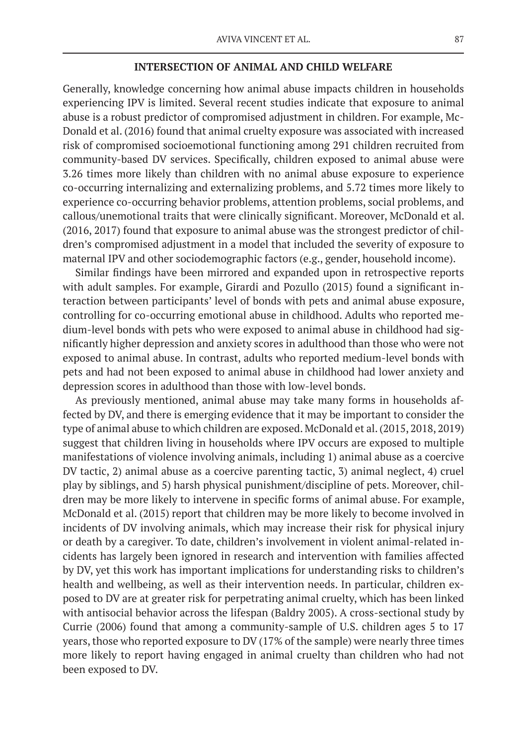### **INTERSECTION OF ANIMAL AND CHILD WELFARE**

Generally, knowledge concerning how animal abuse impacts children in households experiencing IPV is limited. Several recent studies indicate that exposure to animal abuse is a robust predictor of compromised adjustment in children. For example, Mc-Donald et al. (2016) found that animal cruelty exposure was associated with increased risk of compromised socioemotional functioning among 291 children recruited from community-based DV services. Specifically, children exposed to animal abuse were 3.26 times more likely than children with no animal abuse exposure to experience co-occurring internalizing and externalizing problems, and 5.72 times more likely to experience co-occurring behavior problems, attention problems, social problems, and callous/unemotional traits that were clinically significant. Moreover, McDonald et al. (2016, 2017) found that exposure to animal abuse was the strongest predictor of children's compromised adjustment in a model that included the severity of exposure to maternal IPV and other sociodemographic factors (e.g., gender, household income).

Similar findings have been mirrored and expanded upon in retrospective reports with adult samples. For example, Girardi and Pozullo (2015) found a significant interaction between participants' level of bonds with pets and animal abuse exposure, controlling for co-occurring emotional abuse in childhood. Adults who reported medium-level bonds with pets who were exposed to animal abuse in childhood had significantly higher depression and anxiety scores in adulthood than those who were not exposed to animal abuse. In contrast, adults who reported medium-level bonds with pets and had not been exposed to animal abuse in childhood had lower anxiety and depression scores in adulthood than those with low-level bonds.

As previously mentioned, animal abuse may take many forms in households affected by DV, and there is emerging evidence that it may be important to consider the type of animal abuse to which children are exposed. McDonald et al. (2015, 2018, 2019) suggest that children living in households where IPV occurs are exposed to multiple manifestations of violence involving animals, including 1) animal abuse as a coercive DV tactic, 2) animal abuse as a coercive parenting tactic, 3) animal neglect, 4) cruel play by siblings, and 5) harsh physical punishment/discipline of pets. Moreover, children may be more likely to intervene in specific forms of animal abuse. For example, McDonald et al. (2015) report that children may be more likely to become involved in incidents of DV involving animals, which may increase their risk for physical injury or death by a caregiver. To date, children's involvement in violent animal-related incidents has largely been ignored in research and intervention with families affected by DV, yet this work has important implications for understanding risks to children's health and wellbeing, as well as their intervention needs. In particular, children exposed to DV are at greater risk for perpetrating animal cruelty, which has been linked with antisocial behavior across the lifespan (Baldry 2005). A cross-sectional study by Currie (2006) found that among a community-sample of U.S. children ages 5 to 17 years, those who reported exposure to DV (17% of the sample) were nearly three times more likely to report having engaged in animal cruelty than children who had not been exposed to DV.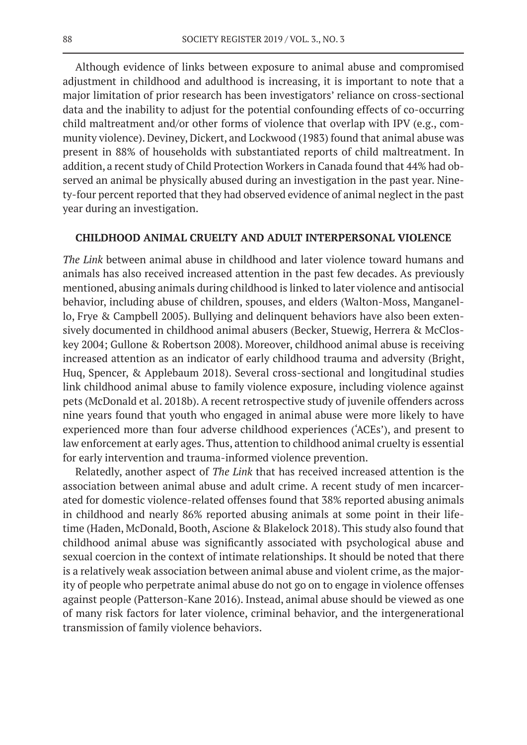Although evidence of links between exposure to animal abuse and compromised adjustment in childhood and adulthood is increasing, it is important to note that a major limitation of prior research has been investigators' reliance on cross-sectional data and the inability to adjust for the potential confounding effects of co-occurring child maltreatment and/or other forms of violence that overlap with IPV (e.g., community violence). Deviney, Dickert, and Lockwood (1983) found that animal abuse was present in 88% of households with substantiated reports of child maltreatment. In addition, a recent study of Child Protection Workers in Canada found that 44% had observed an animal be physically abused during an investigation in the past year. Ninety-four percent reported that they had observed evidence of animal neglect in the past year during an investigation.

### **CHILDHOOD ANIMAL CRUELTY AND ADULT INTERPERSONAL VIOLENCE**

*The Link* between animal abuse in childhood and later violence toward humans and animals has also received increased attention in the past few decades. As previously mentioned, abusing animals during childhood is linked to later violence and antisocial behavior, including abuse of children, spouses, and elders (Walton-Moss, Manganello, Frye & Campbell 2005). Bullying and delinquent behaviors have also been extensively documented in childhood animal abusers (Becker, Stuewig, Herrera & McCloskey 2004; Gullone & Robertson 2008). Moreover, childhood animal abuse is receiving increased attention as an indicator of early childhood trauma and adversity (Bright, Huq, Spencer, & Applebaum 2018). Several cross-sectional and longitudinal studies link childhood animal abuse to family violence exposure, including violence against pets (McDonald et al. 2018b). A recent retrospective study of juvenile offenders across nine years found that youth who engaged in animal abuse were more likely to have experienced more than four adverse childhood experiences ('ACEs'), and present to law enforcement at early ages. Thus, attention to childhood animal cruelty is essential for early intervention and trauma-informed violence prevention.

Relatedly, another aspect of *The Link* that has received increased attention is the association between animal abuse and adult crime. A recent study of men incarcerated for domestic violence-related offenses found that 38% reported abusing animals in childhood and nearly 86% reported abusing animals at some point in their lifetime (Haden, McDonald, Booth, Ascione & Blakelock 2018). This study also found that childhood animal abuse was significantly associated with psychological abuse and sexual coercion in the context of intimate relationships. It should be noted that there is a relatively weak association between animal abuse and violent crime, as the majority of people who perpetrate animal abuse do not go on to engage in violence offenses against people (Patterson-Kane 2016). Instead, animal abuse should be viewed as one of many risk factors for later violence, criminal behavior, and the intergenerational transmission of family violence behaviors.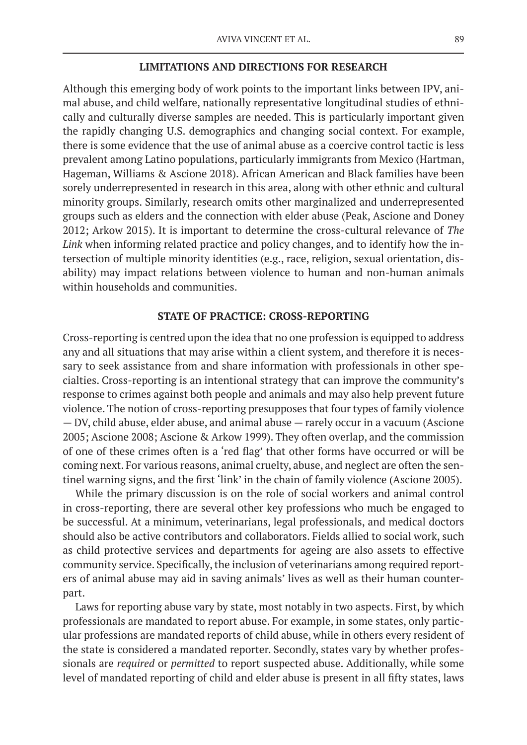### **LIMITATIONS AND DIRECTIONS FOR RESEARCH**

Although this emerging body of work points to the important links between IPV, animal abuse, and child welfare, nationally representative longitudinal studies of ethnically and culturally diverse samples are needed. This is particularly important given the rapidly changing U.S. demographics and changing social context. For example, there is some evidence that the use of animal abuse as a coercive control tactic is less prevalent among Latino populations, particularly immigrants from Mexico (Hartman, Hageman, Williams & Ascione 2018). African American and Black families have been sorely underrepresented in research in this area, along with other ethnic and cultural minority groups. Similarly, research omits other marginalized and underrepresented groups such as elders and the connection with elder abuse (Peak, Ascione and Doney 2012; Arkow 2015). It is important to determine the cross-cultural relevance of *The Link* when informing related practice and policy changes, and to identify how the intersection of multiple minority identities (e.g., race, religion, sexual orientation, disability) may impact relations between violence to human and non-human animals within households and communities.

## **STATE OF PRACTICE: CROSS-REPORTING**

Cross-reporting is centred upon the idea that no one profession is equipped to address any and all situations that may arise within a client system, and therefore it is necessary to seek assistance from and share information with professionals in other specialties. Cross-reporting is an intentional strategy that can improve the community's response to crimes against both people and animals and may also help prevent future violence. The notion of cross-reporting presupposes that four types of family violence — DV, child abuse, elder abuse, and animal abuse — rarely occur in a vacuum (Ascione 2005; Ascione 2008; Ascione & Arkow 1999). They often overlap, and the commission of one of these crimes often is a 'red flag' that other forms have occurred or will be coming next. For various reasons, animal cruelty, abuse, and neglect are often the sentinel warning signs, and the first 'link' in the chain of family violence (Ascione 2005).

While the primary discussion is on the role of social workers and animal control in cross-reporting, there are several other key professions who much be engaged to be successful. At a minimum, veterinarians, legal professionals, and medical doctors should also be active contributors and collaborators. Fields allied to social work, such as child protective services and departments for ageing are also assets to effective community service. Specifically, the inclusion of veterinarians among required reporters of animal abuse may aid in saving animals' lives as well as their human counterpart.

Laws for reporting abuse vary by state, most notably in two aspects. First, by which professionals are mandated to report abuse. For example, in some states, only particular professions are mandated reports of child abuse, while in others every resident of the state is considered a mandated reporter. Secondly, states vary by whether professionals are *required* or *permitted* to report suspected abuse. Additionally, while some level of mandated reporting of child and elder abuse is present in all fifty states, laws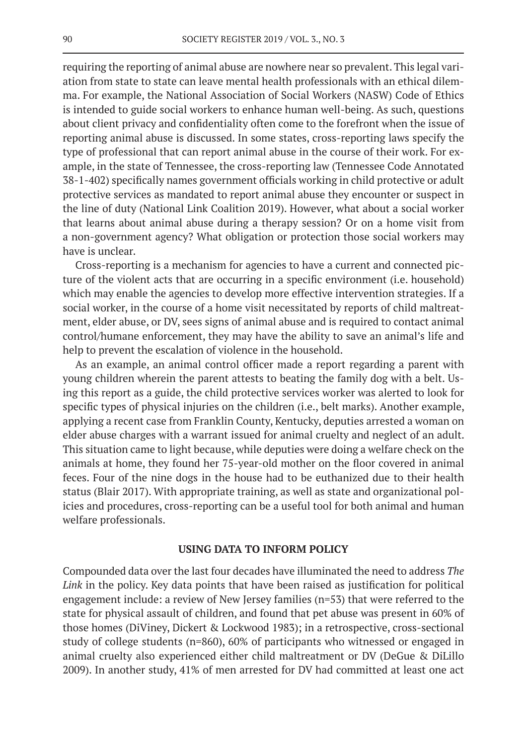requiring the reporting of animal abuse are nowhere near so prevalent. This legal variation from state to state can leave mental health professionals with an ethical dilemma. For example, the National Association of Social Workers (NASW) Code of Ethics is intended to guide social workers to enhance human well-being. As such, questions about client privacy and confidentiality often come to the forefront when the issue of reporting animal abuse is discussed. In some states, cross-reporting laws specify the type of professional that can report animal abuse in the course of their work. For example, in the state of Tennessee, the cross-reporting law (Tennessee Code Annotated 38-1-402) specifically names government officials working in child protective or adult protective services as mandated to report animal abuse they encounter or suspect in the line of duty (National Link Coalition 2019). However, what about a social worker that learns about animal abuse during a therapy session? Or on a home visit from a non-government agency? What obligation or protection those social workers may have is unclear.

Cross-reporting is a mechanism for agencies to have a current and connected picture of the violent acts that are occurring in a specific environment (i.e. household) which may enable the agencies to develop more effective intervention strategies. If a social worker, in the course of a home visit necessitated by reports of child maltreatment, elder abuse, or DV, sees signs of animal abuse and is required to contact animal control/humane enforcement, they may have the ability to save an animal's life and help to prevent the escalation of violence in the household.

As an example, an animal control officer made a report regarding a parent with young children wherein the parent attests to beating the family dog with a belt. Using this report as a guide, the child protective services worker was alerted to look for specific types of physical injuries on the children (i.e., belt marks). Another example, applying a recent case from Franklin County, Kentucky, deputies arrested a woman on elder abuse charges with a warrant issued for animal cruelty and neglect of an adult. This situation came to light because, while deputies were doing a welfare check on the animals at home, they found her 75-year-old mother on the floor covered in animal feces. Four of the nine dogs in the house had to be euthanized due to their health status (Blair 2017). With appropriate training, as well as state and organizational policies and procedures, cross-reporting can be a useful tool for both animal and human welfare professionals.

## **USING DATA TO INFORM POLICY**

Compounded data over the last four decades have illuminated the need to address *The Link* in the policy. Key data points that have been raised as justification for political engagement include: a review of New Jersey families (n=53) that were referred to the state for physical assault of children, and found that pet abuse was present in 60% of those homes (DiViney, Dickert & Lockwood 1983); in a retrospective, cross-sectional study of college students (n=860), 60% of participants who witnessed or engaged in animal cruelty also experienced either child maltreatment or DV (DeGue & DiLillo 2009). In another study, 41% of men arrested for DV had committed at least one act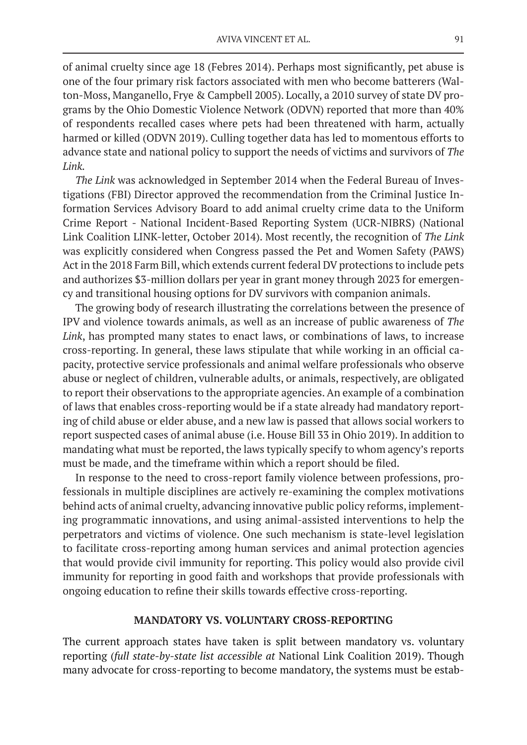of animal cruelty since age 18 (Febres 2014). Perhaps most significantly, pet abuse is one of the four primary risk factors associated with men who become batterers (Walton-Moss, Manganello, Frye & Campbell 2005). Locally, a 2010 survey of state DV programs by the Ohio Domestic Violence Network (ODVN) reported that more than 40% of respondents recalled cases where pets had been threatened with harm, actually harmed or killed (ODVN 2019). Culling together data has led to momentous efforts to advance state and national policy to support the needs of victims and survivors of *The Link.*

*The Link* was acknowledged in September 2014 when the Federal Bureau of Investigations (FBI) Director approved the recommendation from the Criminal Justice Information Services Advisory Board to add animal cruelty crime data to the Uniform Crime Report - National Incident-Based Reporting System (UCR-NIBRS) (National Link Coalition LINK-letter, October 2014). Most recently, the recognition of *The Link* was explicitly considered when Congress passed the Pet and Women Safety (PAWS) Act in the 2018 Farm Bill, which extends current federal DV protections to include pets and authorizes \$3-million dollars per year in grant money through 2023 for emergency and transitional housing options for DV survivors with companion animals.

The growing body of research illustrating the correlations between the presence of IPV and violence towards animals, as well as an increase of public awareness of *The Link*, has prompted many states to enact laws, or combinations of laws, to increase cross-reporting. In general, these laws stipulate that while working in an official capacity, protective service professionals and animal welfare professionals who observe abuse or neglect of children, vulnerable adults, or animals, respectively, are obligated to report their observations to the appropriate agencies. An example of a combination of laws that enables cross-reporting would be if a state already had mandatory reporting of child abuse or elder abuse, and a new law is passed that allows social workers to report suspected cases of animal abuse (i.e. House Bill 33 in Ohio 2019). In addition to mandating what must be reported, the laws typically specify to whom agency's reports must be made, and the timeframe within which a report should be filed.

In response to the need to cross-report family violence between professions, professionals in multiple disciplines are actively re-examining the complex motivations behind acts of animal cruelty, advancing innovative public policy reforms, implementing programmatic innovations, and using animal-assisted interventions to help the perpetrators and victims of violence. One such mechanism is state-level legislation to facilitate cross-reporting among human services and animal protection agencies that would provide civil immunity for reporting. This policy would also provide civil immunity for reporting in good faith and workshops that provide professionals with ongoing education to refine their skills towards effective cross-reporting.

### **MANDATORY VS. VOLUNTARY CROSS-REPORTING**

The current approach states have taken is split between mandatory vs. voluntary reporting (*full state-by-state list accessible at* National Link Coalition 2019). Though many advocate for cross-reporting to become mandatory, the systems must be estab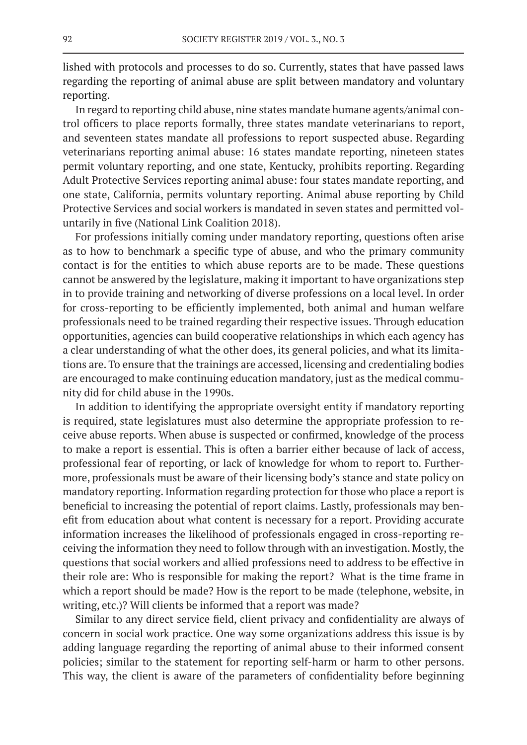lished with protocols and processes to do so. Currently, states that have passed laws regarding the reporting of animal abuse are split between mandatory and voluntary reporting.

In regard to reporting child abuse, nine states mandate humane agents/animal control officers to place reports formally, three states mandate veterinarians to report, and seventeen states mandate all professions to report suspected abuse. Regarding veterinarians reporting animal abuse: 16 states mandate reporting, nineteen states permit voluntary reporting, and one state, Kentucky, prohibits reporting. Regarding Adult Protective Services reporting animal abuse: four states mandate reporting, and one state, California, permits voluntary reporting. Animal abuse reporting by Child Protective Services and social workers is mandated in seven states and permitted voluntarily in five (National Link Coalition 2018).

For professions initially coming under mandatory reporting, questions often arise as to how to benchmark a specific type of abuse, and who the primary community contact is for the entities to which abuse reports are to be made. These questions cannot be answered by the legislature, making it important to have organizations step in to provide training and networking of diverse professions on a local level. In order for cross-reporting to be efficiently implemented, both animal and human welfare professionals need to be trained regarding their respective issues. Through education opportunities, agencies can build cooperative relationships in which each agency has a clear understanding of what the other does, its general policies, and what its limitations are. To ensure that the trainings are accessed, licensing and credentialing bodies are encouraged to make continuing education mandatory, just as the medical community did for child abuse in the 1990s.

In addition to identifying the appropriate oversight entity if mandatory reporting is required, state legislatures must also determine the appropriate profession to receive abuse reports. When abuse is suspected or confirmed, knowledge of the process to make a report is essential. This is often a barrier either because of lack of access, professional fear of reporting, or lack of knowledge for whom to report to. Furthermore, professionals must be aware of their licensing body's stance and state policy on mandatory reporting. Information regarding protection for those who place a report is beneficial to increasing the potential of report claims. Lastly, professionals may benefit from education about what content is necessary for a report. Providing accurate information increases the likelihood of professionals engaged in cross-reporting receiving the information they need to follow through with an investigation. Mostly, the questions that social workers and allied professions need to address to be effective in their role are: Who is responsible for making the report? What is the time frame in which a report should be made? How is the report to be made (telephone, website, in writing, etc.)? Will clients be informed that a report was made?

Similar to any direct service field, client privacy and confidentiality are always of concern in social work practice. One way some organizations address this issue is by adding language regarding the reporting of animal abuse to their informed consent policies; similar to the statement for reporting self-harm or harm to other persons. This way, the client is aware of the parameters of confidentiality before beginning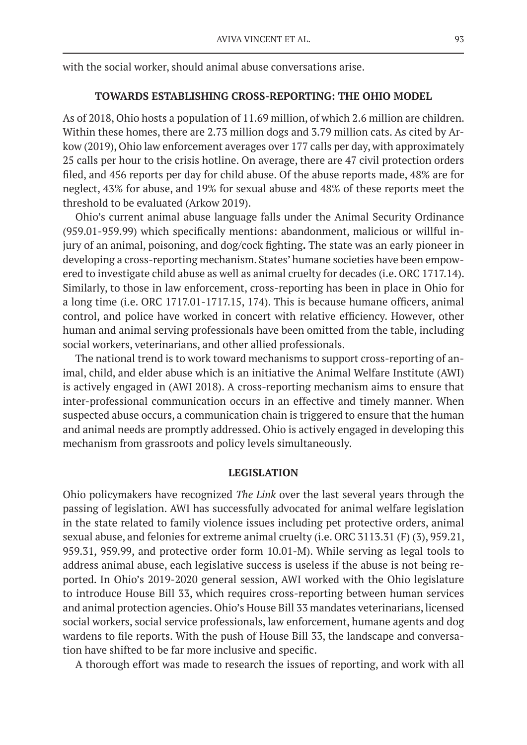with the social worker, should animal abuse conversations arise.

### **TOWARDS ESTABLISHING CROSS-REPORTING: THE OHIO MODEL**

As of 2018, Ohio hosts a population of 11.69 million, of which 2.6 million are children. Within these homes, there are 2.73 million dogs and 3.79 million cats. As cited by Arkow (2019), Ohio law enforcement averages over 177 calls per day, with approximately 25 calls per hour to the crisis hotline. On average, there are 47 civil protection orders filed, and 456 reports per day for child abuse. Of the abuse reports made, 48% are for neglect, 43% for abuse, and 19% for sexual abuse and 48% of these reports meet the threshold to be evaluated (Arkow 2019).

Ohio's current animal abuse language falls under the Animal Security Ordinance (959.01-959.99) which specifically mentions: abandonment, malicious or willful injury of an animal, poisoning, and dog/cock fighting**.** The state was an early pioneer in developing a cross-reporting mechanism. States' humane societies have been empowered to investigate child abuse as well as animal cruelty for decades (i.e. ORC 1717.14). Similarly, to those in law enforcement, cross-reporting has been in place in Ohio for a long time (i.e. ORC 1717.01-1717.15, 174). This is because humane officers, animal control, and police have worked in concert with relative efficiency. However, other human and animal serving professionals have been omitted from the table, including social workers, veterinarians, and other allied professionals.

The national trend is to work toward mechanisms to support cross-reporting of animal, child, and elder abuse which is an initiative the Animal Welfare Institute (AWI) is actively engaged in (AWI 2018). A cross-reporting mechanism aims to ensure that inter-professional communication occurs in an effective and timely manner. When suspected abuse occurs, a communication chain is triggered to ensure that the human and animal needs are promptly addressed. Ohio is actively engaged in developing this mechanism from grassroots and policy levels simultaneously.

### **LEGISLATION**

Ohio policymakers have recognized *The Link* over the last several years through the passing of legislation. AWI has successfully advocated for animal welfare legislation in the state related to family violence issues including pet protective orders, animal sexual abuse, and felonies for extreme animal cruelty (i.e. ORC 3113.31 (F) (3), 959.21, 959.31, 959.99, and protective order form 10.01-M). While serving as legal tools to address animal abuse, each legislative success is useless if the abuse is not being reported. In Ohio's 2019-2020 general session, AWI worked with the Ohio legislature to introduce House Bill 33, which requires cross-reporting between human services and animal protection agencies. Ohio's House Bill 33 mandates veterinarians, licensed social workers, social service professionals, law enforcement, humane agents and dog wardens to file reports. With the push of House Bill 33, the landscape and conversation have shifted to be far more inclusive and specific.

A thorough effort was made to research the issues of reporting, and work with all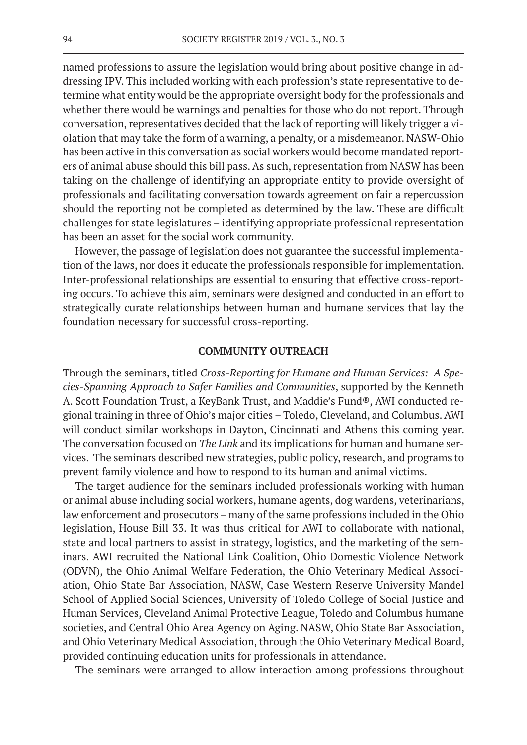named professions to assure the legislation would bring about positive change in addressing IPV. This included working with each profession's state representative to determine what entity would be the appropriate oversight body for the professionals and whether there would be warnings and penalties for those who do not report. Through conversation, representatives decided that the lack of reporting will likely trigger a violation that may take the form of a warning, a penalty, or a misdemeanor. NASW-Ohio has been active in this conversation as social workers would become mandated reporters of animal abuse should this bill pass. As such, representation from NASW has been taking on the challenge of identifying an appropriate entity to provide oversight of professionals and facilitating conversation towards agreement on fair a repercussion should the reporting not be completed as determined by the law. These are difficult challenges for state legislatures – identifying appropriate professional representation has been an asset for the social work community.

However, the passage of legislation does not guarantee the successful implementation of the laws, nor does it educate the professionals responsible for implementation. Inter-professional relationships are essential to ensuring that effective cross-reporting occurs. To achieve this aim, seminars were designed and conducted in an effort to strategically curate relationships between human and humane services that lay the foundation necessary for successful cross-reporting.

### **COMMUNITY OUTREACH**

Through the seminars, titled *Cross-Reporting for Humane and Human Services: A Species-Spanning Approach to Safer Families and Communities*, supported by the Kenneth A. Scott Foundation Trust, a KeyBank Trust, and Maddie's Fund®, AWI conducted regional training in three of Ohio's major cities – Toledo, Cleveland, and Columbus. AWI will conduct similar workshops in Dayton, Cincinnati and Athens this coming year. The conversation focused on *The Link* and its implications for human and humane services. The seminars described new strategies, public policy, research, and programs to prevent family violence and how to respond to its human and animal victims.

The target audience for the seminars included professionals working with human or animal abuse including social workers, humane agents, dog wardens, veterinarians, law enforcement and prosecutors – many of the same professions included in the Ohio legislation, House Bill 33. It was thus critical for AWI to collaborate with national, state and local partners to assist in strategy, logistics, and the marketing of the seminars. AWI recruited the National Link Coalition, Ohio Domestic Violence Network (ODVN), the Ohio Animal Welfare Federation, the Ohio Veterinary Medical Association, Ohio State Bar Association, NASW, Case Western Reserve University Mandel School of Applied Social Sciences, University of Toledo College of Social Justice and Human Services, Cleveland Animal Protective League, Toledo and Columbus humane societies, and Central Ohio Area Agency on Aging. NASW, Ohio State Bar Association, and Ohio Veterinary Medical Association, through the Ohio Veterinary Medical Board, provided continuing education units for professionals in attendance.

The seminars were arranged to allow interaction among professions throughout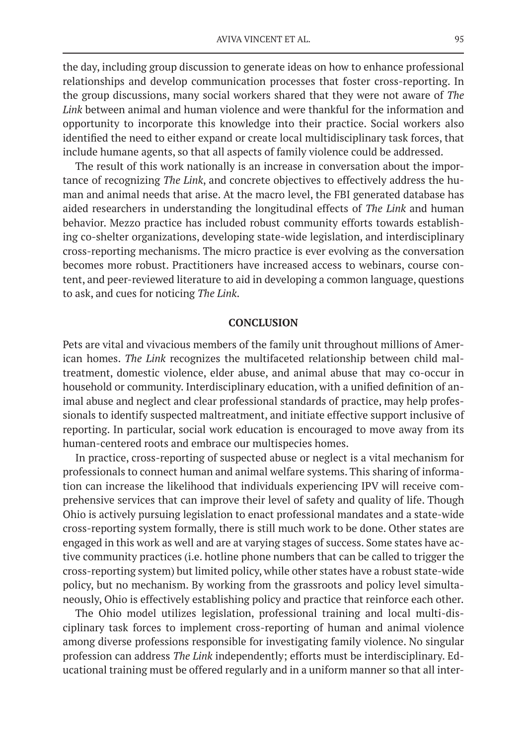the day, including group discussion to generate ideas on how to enhance professional relationships and develop communication processes that foster cross-reporting. In the group discussions, many social workers shared that they were not aware of *The Link* between animal and human violence and were thankful for the information and opportunity to incorporate this knowledge into their practice. Social workers also identified the need to either expand or create local multidisciplinary task forces, that include humane agents, so that all aspects of family violence could be addressed.

The result of this work nationally is an increase in conversation about the importance of recognizing *The Link*, and concrete objectives to effectively address the human and animal needs that arise. At the macro level, the FBI generated database has aided researchers in understanding the longitudinal effects of *The Link* and human behavior. Mezzo practice has included robust community efforts towards establishing co-shelter organizations, developing state-wide legislation, and interdisciplinary cross-reporting mechanisms. The micro practice is ever evolving as the conversation becomes more robust. Practitioners have increased access to webinars, course content, and peer-reviewed literature to aid in developing a common language, questions to ask, and cues for noticing *The Link*.

### **CONCLUSION**

Pets are vital and vivacious members of the family unit throughout millions of American homes. *The Link* recognizes the multifaceted relationship between child maltreatment, domestic violence, elder abuse, and animal abuse that may co-occur in household or community. Interdisciplinary education, with a unified definition of animal abuse and neglect and clear professional standards of practice, may help professionals to identify suspected maltreatment, and initiate effective support inclusive of reporting. In particular, social work education is encouraged to move away from its human-centered roots and embrace our multispecies homes.

In practice, cross-reporting of suspected abuse or neglect is a vital mechanism for professionals to connect human and animal welfare systems. This sharing of information can increase the likelihood that individuals experiencing IPV will receive comprehensive services that can improve their level of safety and quality of life. Though Ohio is actively pursuing legislation to enact professional mandates and a state-wide cross-reporting system formally, there is still much work to be done. Other states are engaged in this work as well and are at varying stages of success. Some states have active community practices (i.e. hotline phone numbers that can be called to trigger the cross-reporting system) but limited policy, while other states have a robust state-wide policy, but no mechanism. By working from the grassroots and policy level simultaneously, Ohio is effectively establishing policy and practice that reinforce each other.

The Ohio model utilizes legislation, professional training and local multi-disciplinary task forces to implement cross-reporting of human and animal violence among diverse professions responsible for investigating family violence. No singular profession can address *The Link* independently; efforts must be interdisciplinary. Educational training must be offered regularly and in a uniform manner so that all inter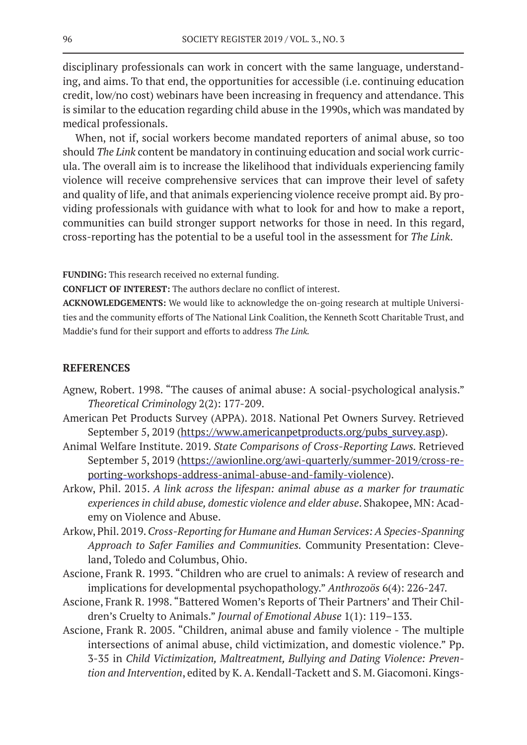disciplinary professionals can work in concert with the same language, understanding, and aims. To that end, the opportunities for accessible (i.e. continuing education credit, low/no cost) webinars have been increasing in frequency and attendance. This is similar to the education regarding child abuse in the 1990s, which was mandated by medical professionals.

When, not if, social workers become mandated reporters of animal abuse, so too should *The Link* content be mandatory in continuing education and social work curricula. The overall aim is to increase the likelihood that individuals experiencing family violence will receive comprehensive services that can improve their level of safety and quality of life, and that animals experiencing violence receive prompt aid. By providing professionals with guidance with what to look for and how to make a report, communities can build stronger support networks for those in need. In this regard, cross-reporting has the potential to be a useful tool in the assessment for *The Link*.

**FUNDING:** This research received no external funding.

**CONFLICT OF INTEREST:** The authors declare no conflict of interest.

**ACKNOWLEDGEMENTS:** We would like to acknowledge the on-going research at multiple Universities and the community efforts of The National Link Coalition, the Kenneth Scott Charitable Trust, and Maddie's fund for their support and efforts to address *The Link.* 

### **REFERENCES**

- Agnew, Robert. 1998. "The causes of animal abuse: A social-psychological analysis." *Theoretical Criminology* 2(2): 177-209.
- American Pet Products Survey (APPA). 2018. National Pet Owners Survey. Retrieved September 5, 2019 (https://www.americanpetproducts.org/pubs\_survey.asp).
- Animal Welfare Institute. 2019. *State Comparisons of Cross-Reporting Laws.* Retrieved September 5, 2019 (https://awionline.org/awi-quarterly/summer-2019/cross-reporting-workshops-address-animal-abuse-and-family-violence).
- Arkow, Phil. 2015. *A link across the lifespan: animal abuse as a marker for traumatic experiences in child abuse, domestic violence and elder abuse*. Shakopee, MN: Academy on Violence and Abuse.
- Arkow, Phil. 2019. *Cross-Reporting for Humane and Human Services: A Species-Spanning Approach to Safer Families and Communities.* Community Presentation: Cleveland, Toledo and Columbus, Ohio.
- Ascione, Frank R. 1993. "Children who are cruel to animals: A review of research and implications for developmental psychopathology." *Anthrozoös* 6(4): 226-247.
- Ascione, Frank R. 1998. "Battered Women's Reports of Their Partners' and Their Children's Cruelty to Animals." *Journal of Emotional Abuse* 1(1): 119–133.
- Ascione, Frank R. 2005. "Children, animal abuse and family violence The multiple intersections of animal abuse, child victimization, and domestic violence." Pp. 3-35 in *Child Victimization, Maltreatment, Bullying and Dating Violence: Prevention and Intervention*, edited by K. A. Kendall-Tackett and S. M. Giacomoni. Kings-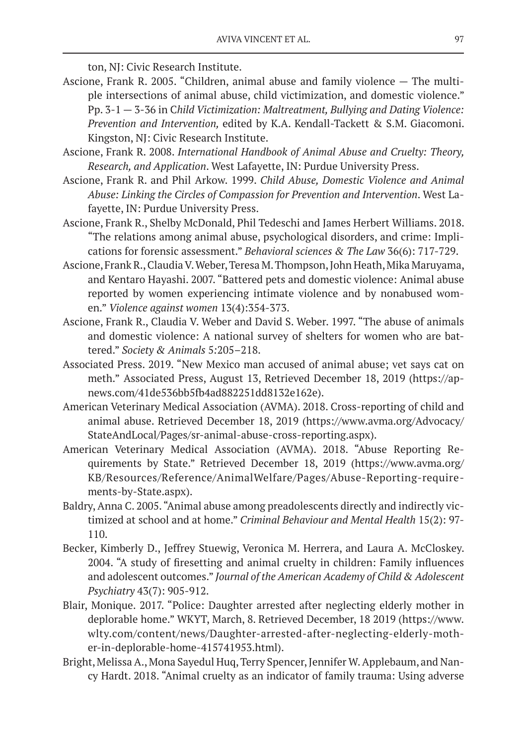ton, NJ: Civic Research Institute.

- Ascione, Frank R. 2005. "Children, animal abuse and family violence The multiple intersections of animal abuse, child victimization, and domestic violence." Pp. 3-1 — 3-36 in C*hild Victimization: Maltreatment, Bullying and Dating Violence: Prevention and Intervention,* edited by K.A. Kendall-Tackett & S.M. Giacomoni. Kingston, NJ: Civic Research Institute.
- Ascione, Frank R. 2008. *International Handbook of Animal Abuse and Cruelty: Theory, Research, and Application*. West Lafayette, IN: Purdue University Press.
- Ascione, Frank R. and Phil Arkow. 1999. *Child Abuse, Domestic Violence and Animal Abuse: Linking the Circles of Compassion for Prevention and Intervention*. West Lafayette, IN: Purdue University Press.
- Ascione, Frank R., Shelby McDonald, Phil Tedeschi and James Herbert Williams. 2018. "The relations among animal abuse, psychological disorders, and crime: Implications for forensic assessment." *Behavioral sciences & The Law* 36(6): 717-729.
- Ascione, Frank R., Claudia V. Weber, Teresa M. Thompson, John Heath, Mika Maruyama, and Kentaro Hayashi. 2007. "Battered pets and domestic violence: Animal abuse reported by women experiencing intimate violence and by nonabused women." *Violence against women* 13(4):354-373.
- Ascione, Frank R., Claudia V. Weber and David S. Weber. 1997. "The abuse of animals and domestic violence: A national survey of shelters for women who are battered." *Society & Animals* 5*:*205–218.
- Associated Press. 2019. "New Mexico man accused of animal abuse; vet says cat on meth." Associated Press, August 13, Retrieved December 18, 2019 (https://apnews.com/41de536bb5fb4ad882251dd8132e162e).
- American Veterinary Medical Association (AVMA). 2018. Cross-reporting of child and animal abuse. Retrieved December 18, 2019 (https://www.avma.org/Advocacy/ StateAndLocal/Pages/sr-animal-abuse-cross-reporting.aspx).
- American Veterinary Medical Association (AVMA). 2018. "Abuse Reporting Requirements by State." Retrieved December 18, 2019 (https://www.avma.org/ KB/Resources/Reference/AnimalWelfare/Pages/Abuse-Reporting-requirements-by-State.aspx).
- Baldry, Anna C. 2005. "Animal abuse among preadolescents directly and indirectly victimized at school and at home." *Criminal Behaviour and Mental Health* 15(2): 97- 110.
- Becker, Kimberly D., Jeffrey Stuewig, Veronica M. Herrera, and Laura A. McCloskey. 2004. "A study of firesetting and animal cruelty in children: Family influences and adolescent outcomes." *Journal of the American Academy of Child & Adolescent Psychiatry* 43(7): 905-912.
- Blair, Monique. 2017. "Police: Daughter arrested after neglecting elderly mother in deplorable home." WKYT, March, 8. Retrieved December, 18 2019 (https://www. wlty.com/content/news/Daughter-arrested-after-neglecting-elderly-mother-in-deplorable-home-415741953.html).
- Bright, Melissa A., Mona Sayedul Huq, Terry Spencer, Jennifer W. Applebaum, and Nancy Hardt. 2018. "Animal cruelty as an indicator of family trauma: Using adverse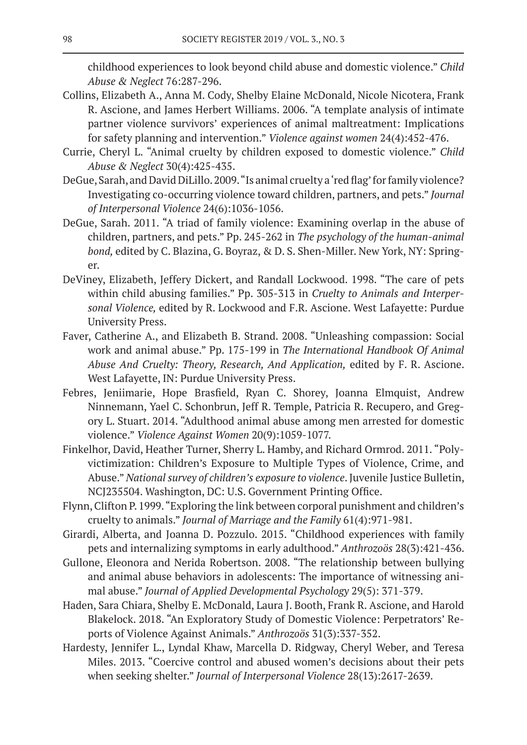childhood experiences to look beyond child abuse and domestic violence." *Child Abuse & Neglect* 76:287-296.

- Collins, Elizabeth A., Anna M. Cody, Shelby Elaine McDonald, Nicole Nicotera, Frank R. Ascione, and James Herbert Williams. 2006. "A template analysis of intimate partner violence survivors' experiences of animal maltreatment: Implications for safety planning and intervention." *Violence against women* 24(4):452-476.
- Currie, Cheryl L. "Animal cruelty by children exposed to domestic violence." *Child Abuse & Neglect* 30(4):425-435.
- DeGue, Sarah, and David DiLillo. 2009. "Is animal cruelty a 'red flag' for family violence? Investigating co-occurring violence toward children, partners, and pets." *Journal of Interpersonal Violence* 24(6):1036-1056.
- DeGue, Sarah. 2011. "A triad of family violence: Examining overlap in the abuse of children, partners, and pets." Pp. 245-262 in *The psychology of the human-animal bond,* edited by C. Blazina, G. Boyraz, & D. S. Shen-Miller. New York, NY: Springer.
- DeViney, Elizabeth, Jeffery Dickert, and Randall Lockwood. 1998. "The care of pets within child abusing families." Pp. 305-313 in *Cruelty to Animals and Interpersonal Violence,* edited by R. Lockwood and F.R. Ascione. West Lafayette: Purdue University Press.
- Faver, Catherine A., and Elizabeth B. Strand. 2008. "Unleashing compassion: Social work and animal abuse." Pp. 175-199 in *The International Handbook Of Animal Abuse And Cruelty: Theory, Research, And Application,* edited by F. R. Ascione. West Lafayette, IN: Purdue University Press.
- Febres, Jeniimarie, Hope Brasfield, Ryan C. Shorey, Joanna Elmquist, Andrew Ninnemann, Yael C. Schonbrun, Jeff R. Temple, Patricia R. Recupero, and Gregory L. Stuart. 2014. "Adulthood animal abuse among men arrested for domestic violence." *Violence Against Women* 20(9):1059-1077.
- Finkelhor, David, Heather Turner, Sherry L. Hamby, and Richard Ormrod. 2011. "Polyvictimization: Children's Exposure to Multiple Types of Violence, Crime, and Abuse." *National survey of children's exposure to violence*. Juvenile Justice Bulletin, NCJ235504. Washington, DC: U.S. Government Printing Office.
- Flynn, Clifton P. 1999. "Exploring the link between corporal punishment and children's cruelty to animals." *Journal of Marriage and the Family* 61(4):971-981.
- Girardi, Alberta, and Joanna D. Pozzulo. 2015. "Childhood experiences with family pets and internalizing symptoms in early adulthood." *Anthrozoös* 28(3):421-436.
- Gullone, Eleonora and Nerida Robertson. 2008. "The relationship between bullying and animal abuse behaviors in adolescents: The importance of witnessing animal abuse." *Journal of Applied Developmental Psychology* 29(5): 371-379.
- Haden, Sara Chiara, Shelby E. McDonald, Laura J. Booth, Frank R. Ascione, and Harold Blakelock. 2018. "An Exploratory Study of Domestic Violence: Perpetrators' Reports of Violence Against Animals." *Anthrozoös* 31(3):337-352.
- Hardesty, Jennifer L., Lyndal Khaw, Marcella D. Ridgway, Cheryl Weber, and Teresa Miles. 2013. "Coercive control and abused women's decisions about their pets when seeking shelter." *Journal of Interpersonal Violence* 28(13):2617-2639.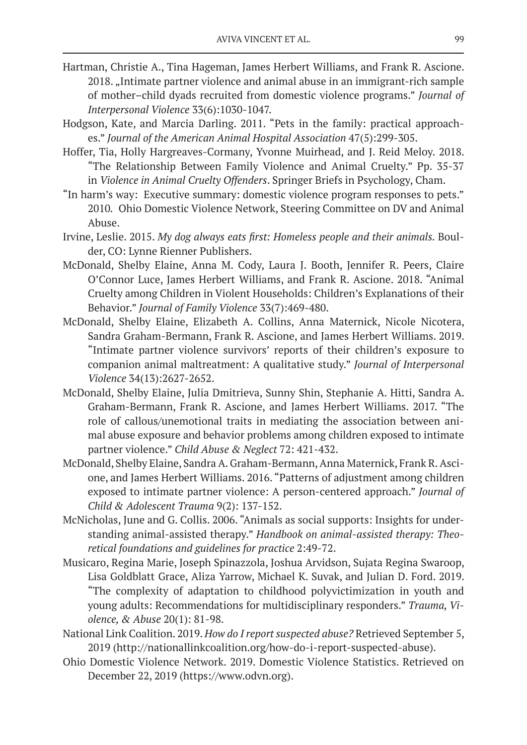- Hartman, Christie A., Tina Hageman, James Herbert Williams, and Frank R. Ascione. 2018. "Intimate partner violence and animal abuse in an immigrant-rich sample of mother–child dyads recruited from domestic violence programs." *Journal of Interpersonal Violence* 33(6):1030-1047.
- Hodgson, Kate, and Marcia Darling. 2011. "Pets in the family: practical approaches." *Journal of the American Animal Hospital Association* 47(5):299-305.
- Hoffer, Tia, Holly Hargreaves-Cormany, Yvonne Muirhead, and J. Reid Meloy. 2018. "The Relationship Between Family Violence and Animal Cruelty." Pp. 35-37 in *Violence in Animal Cruelty Offenders*. Springer Briefs in Psychology, Cham.
- "In harm's way: Executive summary: domestic violence program responses to pets." 2010*.* Ohio Domestic Violence Network, Steering Committee on DV and Animal Abuse.
- Irvine, Leslie. 2015. *My dog always eats first: Homeless people and their animals.* Boulder, CO: Lynne Rienner Publishers.
- McDonald, Shelby Elaine, Anna M. Cody, Laura J. Booth, Jennifer R. Peers, Claire O'Connor Luce, James Herbert Williams, and Frank R. Ascione. 2018. "Animal Cruelty among Children in Violent Households: Children's Explanations of their Behavior." *Journal of Family Violence* 33(7):469-480.
- McDonald, Shelby Elaine, Elizabeth A. Collins, Anna Maternick, Nicole Nicotera, Sandra Graham-Bermann, Frank R. Ascione, and James Herbert Williams. 2019. "Intimate partner violence survivors' reports of their children's exposure to companion animal maltreatment: A qualitative study." *Journal of Interpersonal Violence* 34(13):2627-2652.
- McDonald, Shelby Elaine, Julia Dmitrieva, Sunny Shin, Stephanie A. Hitti, Sandra A. Graham-Bermann, Frank R. Ascione, and James Herbert Williams. 2017. "The role of callous/unemotional traits in mediating the association between animal abuse exposure and behavior problems among children exposed to intimate partner violence." *Child Abuse & Neglect* 72: 421-432.
- McDonald, Shelby Elaine, Sandra A. Graham-Bermann, Anna Maternick, Frank R. Ascione, and James Herbert Williams. 2016. "Patterns of adjustment among children exposed to intimate partner violence: A person-centered approach." *Journal of Child & Adolescent Trauma* 9(2): 137-152.
- McNicholas, June and G. Collis. 2006. "Animals as social supports: Insights for understanding animal-assisted therapy." *Handbook on animal-assisted therapy: Theoretical foundations and guidelines for practice* 2:49-72.
- Musicaro, Regina Marie, Joseph Spinazzola, Joshua Arvidson, Sujata Regina Swaroop, Lisa Goldblatt Grace, Aliza Yarrow, Michael K. Suvak, and Julian D. Ford. 2019. "The complexity of adaptation to childhood polyvictimization in youth and young adults: Recommendations for multidisciplinary responders." *Trauma, Violence, & Abuse* 20(1): 81-98.
- National Link Coalition. 2019. *How do I report suspected abuse?* Retrieved September 5, 2019 (http://nationallinkcoalition.org/how-do-i-report-suspected-abuse).
- Ohio Domestic Violence Network. 2019. Domestic Violence Statistics. Retrieved on December 22, 2019 (https://www.odvn.org).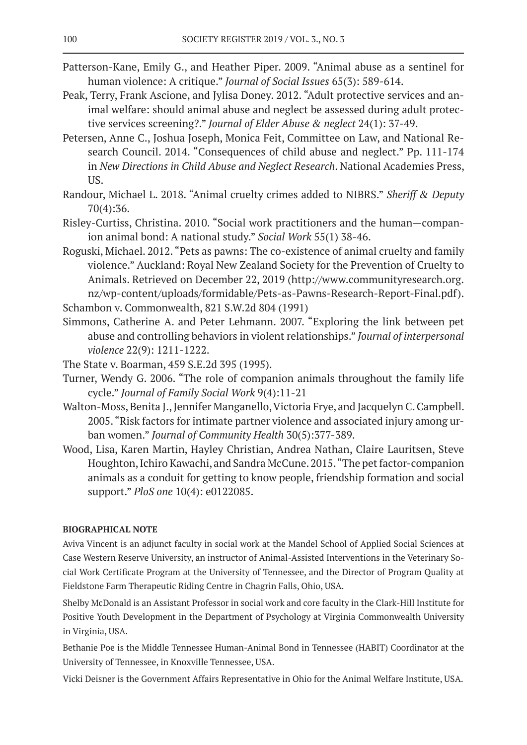- Patterson-Kane, Emily G., and Heather Piper. 2009. "Animal abuse as a sentinel for human violence: A critique." *Journal of Social Issues* 65(3): 589-614.
- Peak, Terry, Frank Ascione, and Jylisa Doney. 2012. "Adult protective services and animal welfare: should animal abuse and neglect be assessed during adult protective services screening?." *Journal of Elder Abuse & neglect* 24(1): 37-49.
- Petersen, Anne C., Joshua Joseph, Monica Feit, Committee on Law, and National Research Council. 2014. "Consequences of child abuse and neglect." Pp. 111-174 in *New Directions in Child Abuse and Neglect Research*. National Academies Press, US.
- Randour, Michael L. 2018. "Animal cruelty crimes added to NIBRS." *Sheriff & Deputy* 70(4):36.
- Risley-Curtiss, Christina. 2010. "Social work practitioners and the human—companion animal bond: A national study." *Social Work* 55(1) 38-46.
- Roguski, Michael. 2012. "Pets as pawns: The co-existence of animal cruelty and family violence." Auckland: Royal New Zealand Society for the Prevention of Cruelty to Animals. Retrieved on December 22, 2019 (http://www.communityresearch.org. nz/wp-content/uploads/formidable/Pets-as-Pawns-Research-Report-Final.pdf). Schambon v. Commonwealth, 821 S.W.2d 804 (1991)
- Simmons, Catherine A. and Peter Lehmann. 2007. "Exploring the link between pet abuse and controlling behaviors in violent relationships." *Journal of interpersonal violence* 22(9): 1211-1222.
- The State v. Boarman, 459 S.E.2d 395 (1995).
- Turner, Wendy G. 2006. "The role of companion animals throughout the family life cycle." *Journal of Family Social Work* 9(4):11-21
- Walton-Moss, Benita J., Jennifer Manganello, Victoria Frye, and Jacquelyn C. Campbell. 2005. "Risk factors for intimate partner violence and associated injury among urban women." *Journal of Community Health* 30(5):377-389.
- Wood, Lisa, Karen Martin, Hayley Christian, Andrea Nathan, Claire Lauritsen, Steve Houghton, Ichiro Kawachi, and Sandra McCune. 2015. "The pet factor-companion animals as a conduit for getting to know people, friendship formation and social support." *PloS one* 10(4): e0122085.

### **BIOGRAPHICAL NOTE**

Aviva Vincent is an adjunct faculty in social work at the Mandel School of Applied Social Sciences at Case Western Reserve University, an instructor of Animal-Assisted Interventions in the Veterinary Social Work Certificate Program at the University of Tennessee, and the Director of Program Quality at Fieldstone Farm Therapeutic Riding Centre in Chagrin Falls, Ohio, USA.

Shelby McDonald is an Assistant Professor in social work and core faculty in the Clark-Hill Institute for Positive Youth Development in the Department of Psychology at Virginia Commonwealth University in Virginia, USA.

Bethanie Poe is the Middle Tennessee Human-Animal Bond in Tennessee (HABIT) Coordinator at the University of Tennessee, in Knoxville Tennessee, USA.

Vicki Deisner is the Government Affairs Representative in Ohio for the Animal Welfare Institute, USA.